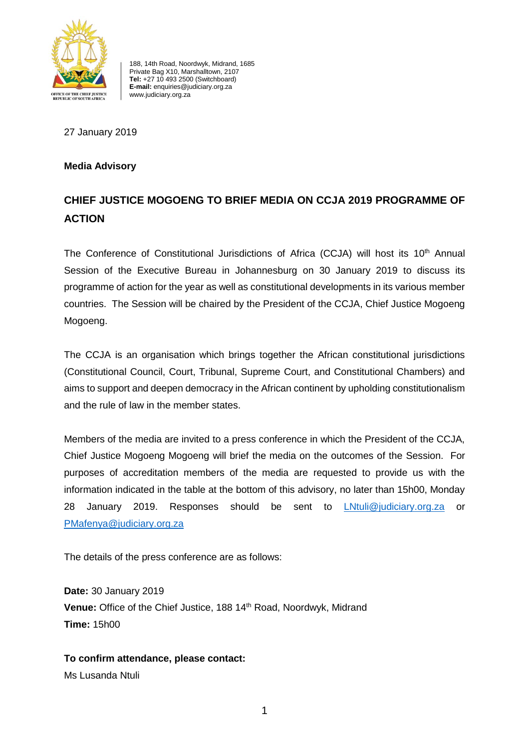

188, 14th Road, Noordwyk, Midrand, 1685 Private Bag X10, Marshalltown, 2107 **Tel:** +27 10 493 2500 (Switchboard) **E-mail:** enquiries@judiciary.org.za www.judiciary.org.za

27 January 2019

## **Media Advisory**

## **CHIEF JUSTICE MOGOENG TO BRIEF MEDIA ON CCJA 2019 PROGRAMME OF ACTION**

The Conference of Constitutional Jurisdictions of Africa (CCJA) will host its 10<sup>th</sup> Annual Session of the Executive Bureau in Johannesburg on 30 January 2019 to discuss its programme of action for the year as well as constitutional developments in its various member countries. The Session will be chaired by the President of the CCJA, Chief Justice Mogoeng Mogoeng.

The CCJA is an organisation which brings together the African constitutional jurisdictions (Constitutional Council, Court, Tribunal, Supreme Court, and Constitutional Chambers) and aims to support and deepen democracy in the African continent by upholding constitutionalism and the rule of law in the member states.

Members of the media are invited to a press conference in which the President of the CCJA, Chief Justice Mogoeng Mogoeng will brief the media on the outcomes of the Session. For purposes of accreditation members of the media are requested to provide us with the information indicated in the table at the bottom of this advisory, no later than 15h00, Monday 28 January 2019. Responses should be sent to [LNtuli@judiciary.org.za](mailto:LNtuli@judiciary.org.za) or [PMafenya@judiciary.org.za](mailto:PMafenya@judiciary.org.za)

The details of the press conference are as follows:

**Date:** 30 January 2019 **Venue:** Office of the Chief Justice, 188 14<sup>th</sup> Road, Noordwyk, Midrand **Time:** 15h00

**To confirm attendance, please contact:** Ms Lusanda Ntuli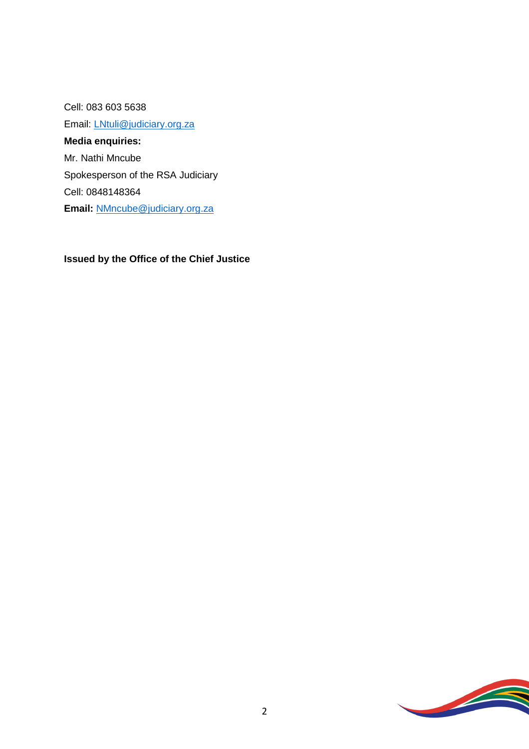Cell: 083 603 5638 Email: [LNtuli@judiciary.org.za](mailto:LNtuli@judiciary.org.za) **Media enquiries:** Mr. Nathi Mncube Spokesperson of the RSA Judiciary Cell: 0848148364 **Email:** [NMncube@judiciary.org.za](mailto:NMncube@judiciary.org.za)

## **Issued by the Office of the Chief Justice**